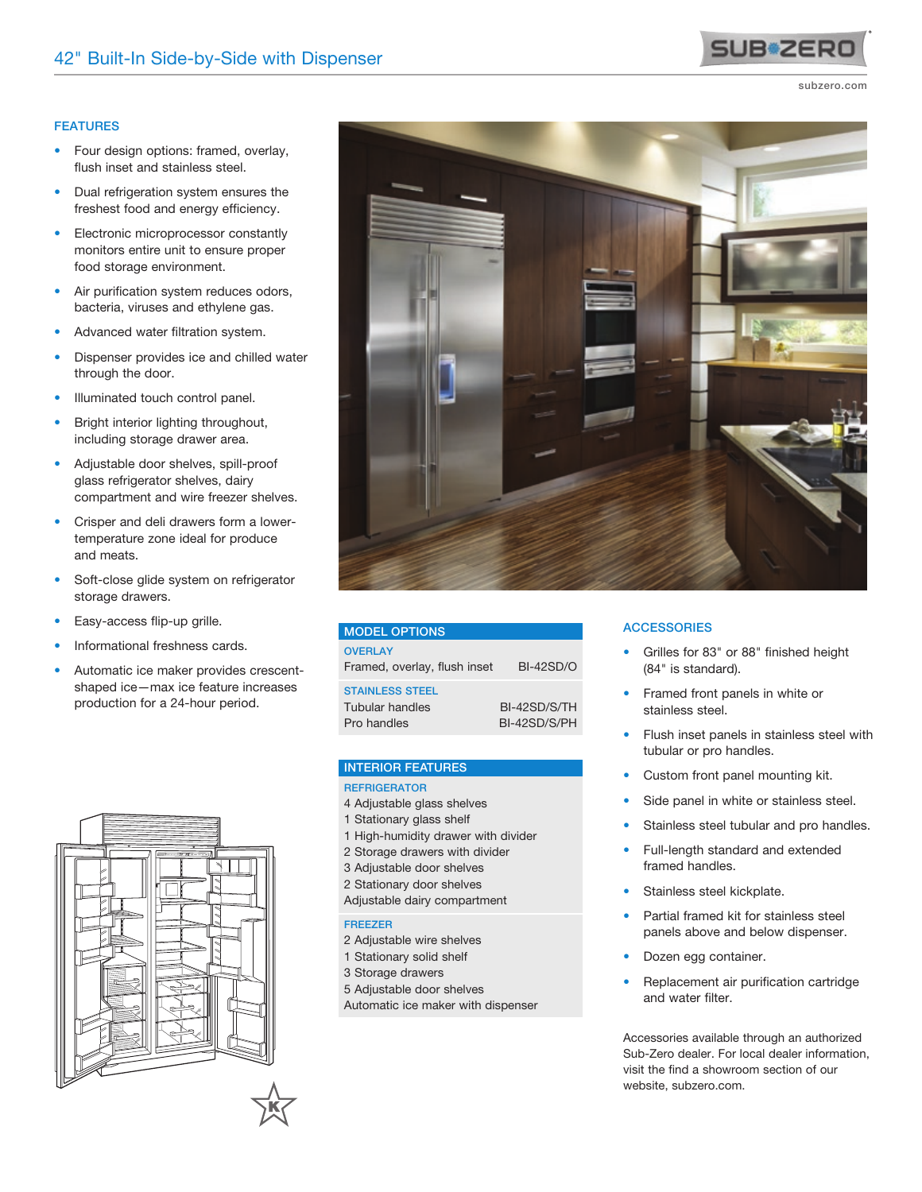## FEATURES

- Four design options: framed, overlay, flush inset and stainless steel.
- Dual refrigeration system ensures the freshest food and energy efficiency.
- Electronic microprocessor constantly monitors entire unit to ensure proper food storage environment.
- Air purification system reduces odors, bacteria, viruses and ethylene gas.
- Advanced water filtration system.
- Dispenser provides ice and chilled water through the door.
- Illuminated touch control panel.
- Bright interior lighting throughout, including storage drawer area.
- Adjustable door shelves, spill-proof glass refrigerator shelves, dairy compartment and wire freezer shelves.
- Crisper and deli drawers form a lowertemperature zone ideal for produce and meats.
- Soft-close glide system on refrigerator storage drawers.
- Easy-access flip-up grille.
- Informational freshness cards.
- Automatic ice maker provides crescentshaped ice—max ice feature increases production for a 24-hour period.



# MODEL OPTIONS

| <b>OVERI AY</b><br>Framed, overlay, flush inset          | <b>BI-42SD/O</b>             |
|----------------------------------------------------------|------------------------------|
| <b>STAINLESS STEEL</b><br>Tubular handles<br>Pro handles | BI-42SD/S/TH<br>BI-42SD/S/PH |

#### INTERIOR FEATURES

### **REFRIGERATOR**

- 4 Adjustable glass shelves
- 1 Stationary glass shelf
- 1 High-humidity drawer with divider
- 2 Storage drawers with divider
- 3 Adjustable door shelves
- 2 Stationary door shelves
- Adjustable dairy compartment

#### FREEZER

- 2 Adjustable wire shelves
- 1 Stationary solid shelf
- 3 Storage drawers
- 5 Adjustable door shelves
- Automatic ice maker with dispenser

# **ACCESSORIES**

- Grilles for 83" or 88" finished height (84" is standard).
- Framed front panels in white or stainless steel.
- Flush inset panels in stainless steel with tubular or pro handles.
- Custom front panel mounting kit.
- Side panel in white or stainless steel.
- Stainless steel tubular and pro handles.
- Full-length standard and extended framed handles.
- Stainless steel kickplate.
- Partial framed kit for stainless steel panels above and below dispenser.
- Dozen egg container.
- Replacement air purification cartridge and water filter.

Accessories available through an authorized Sub-Zero dealer. For local dealer information, visit the find a showroom section of our website, subzero.com.





subzero.com